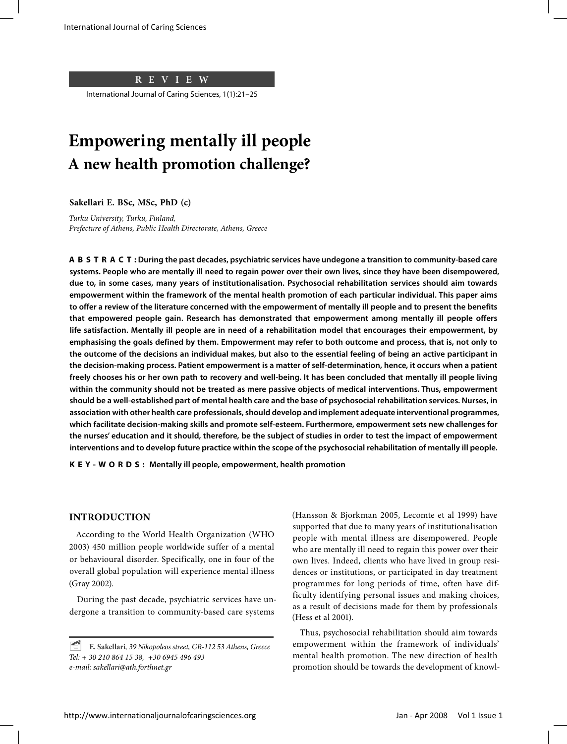**REVIEW**

International Journal of Caring Sciences, 1(1):21–25

# **Empowering mentally ill people A new health promotion challenge?**

**Sakellari E. BSc, MSc, PhD (c)** 

*Turku University, Turku, Finland, Prefecture of Athens, Public Health Directorate, Athens, Greece*

**ABSTRACT: During the past decades, psychiatric services have undegone a transition to community-based care systems. People who are mentally ill need to regain power over their own lives, since they have been disempowered, due to, in some cases, many years of institutionalisation. Psychosocial rehabilitation services should aim towards empowerment within the framework of the mental health promotion of each particular individual. This paper aims to offer a review of the literature concerned with the empowerment of mentally ill people and to present the benefits that empowered people gain. Research has demonstrated that empowerment among mentally ill people offers life satisfaction. Mentally ill people are in need of a rehabilitation model that encourages their empowerment, by emphasising the goals defined by them. Empowerment may refer to both outcome and process, that is, not only to the outcome of the decisions an individual makes, but also to the essential feeling of being an active participant in the decision-making process. Patient empowerment is a matter of self-determination, hence, it occurs when a patient freely chooses his or her own path to recovery and well-being. It has been concluded that mentally ill people living within the community should not be treated as mere passive objects of medical interventions. Thus, empowerment should be a well-established part of mental health care and the base of psychosocial rehabilitation services. Nurses, in association with other health care professionals, should develop and implement adequate interventional programmes, which facilitate decision-making skills and promote self-esteem. Furthermore, empowerment sets new challenges for the nurses' education and it should, therefore, be the subject of studies in order to test the impact of empowerment interventions and to develop future practice within the scope of the psychosocial rehabilitation of mentally ill people.**

**KEY-WORDS: Μentally ill people, empowerment, health promotion**

### **INTRODUCTION**

According to the World Health Organization (WHO 2003) 450 million people worldwide suffer of a mental or behavioural disorder. Specifically, one in four of the overall global population will experience mental illness (Gray 2002).

During the past decade, psychiatric services have undergone a transition to community-based care systems

(Hansson & Bjorkman 2005, Lecomte et al 1999) have supported that due to many years of institutionalisation people with mental illness are disempowered. People who are mentally ill need to regain this power over their own lives. Indeed, clients who have lived in group residences or institutions, or participated in day treatment programmes for long periods of time, often have difficulty identifying personal issues and making choices, as a result of decisions made for them by professionals (Hess et al 2001).

Thus, psychosocial rehabilitation should aim towards empowerment within the framework of individuals' mental health promotion. The new direction of health promotion should be towards the development of knowl-

<sup>~</sup> **E. Sakellari***, 39 Nikopoleos street, GR-112 53 Athens, Greece Tel: + 30 210 864 15 38, +30 6945 496 493 e-mail: sakellari@ath.forthnet.gr*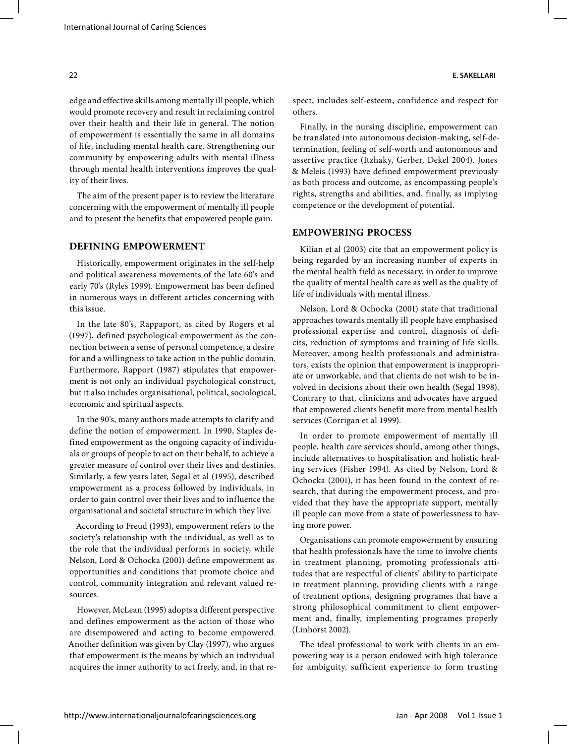edge and effective skills among mentally ill people, which would promote recovery and result in reclaiming control over their health and their life in general. The notion of empowerment is essentially the same in all domains of life, including mental health care. Strengthening our community by empowering adults with mental illness through mental health interventions improves the quality of their lives.

The aim of the present paper is to review the literature concerning with the empowerment of mentally ill people and to present the benefits that empowered people gain.

# **DEFINING EMPOWERMENT**

Historically, empowerment originates in the self-help and political awareness movements of the late 60's and early 70's (Ryles 1999). Empowerment has been defined in numerous ways in different articles concerning with this issue.

In the late 80's, Rappaport, as cited by Rogers et al (1997), defined psychological empowerment as the connection between a sense of personal competence, a desire for and a willingness to take action in the public domain. Furthermore, Rapport (1987) stipulates that empowerment is not only an individual psychological construct, but it also includes organisational, political, sociological, economic and spiritual aspects.

In the 90's, many authors made attempts to clarify and define the notion of empowerment. In 1990, Staples defined empowerment as the ongoing capacity of individuals or groups of people to act on their behalf, to achieve a greater measure of control over their lives and destinies. Similarly, a few years later, Segal et al (1995), described empowerment as a process followed by individuals, in order to gain control over their lives and to influence the organisational and societal structure in which they live.

According to Freud (1993), empowerment refers to the society's relationship with the individual, as well as to the role that the individual performs in society, while Nelson, Lord & Ochocka (2001) define empowerment as opportunities and conditions that promote choice and control, community integration and relevant valued resources.

However, McLean (1995) adopts a different perspective and defines empowerment as the action of those who are disempowered and acting to become empowered. Another definition was given by Clay (1997), who argues that empowerment is the means by which an individual acquires the inner authority to act freely, and, in that respect, includes self-esteem, confidence and respect for others.

Finally, in the nursing discipline, empowerment can be translated into autonomous decision-making, self-determination, feeling of self-worth and autonomous and assertive practice (Itzhaky, Gerber, Dekel 2004). Jones & Meleis (1993) have defined empowerment previously as both process and outcome, as encompassing people's rights, strengths and abilities, and, finally, as implying competence or the development of potential.

# **EMPOWERING PROCESS**

Kilian et al (2003) cite that an empowerment policy is being regarded by an increasing number of experts in the mental health field as necessary, in order to improve the quality of mental health care as well as the quality of life of individuals with mental illness.

Nelson, Lord & Ochocka (2001) state that traditional approaches towards mentally ill people have emphasised professional expertise and control, diagnosis of deficits, reduction of symptoms and training of life skills. Moreover, among health professionals and administrators, exists the opinion that empowerment is inappropriate or unworkable, and that clients do not wish to be involved in decisions about their own health (Segal 1998). Contrary to that, clinicians and advocates have argued that empowered clients benefit more from mental health services (Corrigan et al 1999).

In order to promote empowerment of mentally ill people, health care services should, among other things, include alternatives to hospitalisation and holistic healing services (Fisher 1994). As cited by Nelson, Lord & Ochocka (2001), it has been found in the context of research, that during the empowerment process, and provided that they have the appropriate support, mentally ill people can move from a state of powerlessness to having more power.

Organisations can promote empowerment by ensuring that health professionals have the time to involve clients in treatment planning, promoting professionals attitudes that are respectful of clients' ability to participate in treatment planning, providing clients with a range of treatment options, designing programes that have a strong philosophical commitment to client empowerment and, finally, implementing programes properly (Linhorst 2002).

The ideal professional to work with clients in an empowering way is a person endowed with high tolerance for ambiguity, sufficient experience to form trusting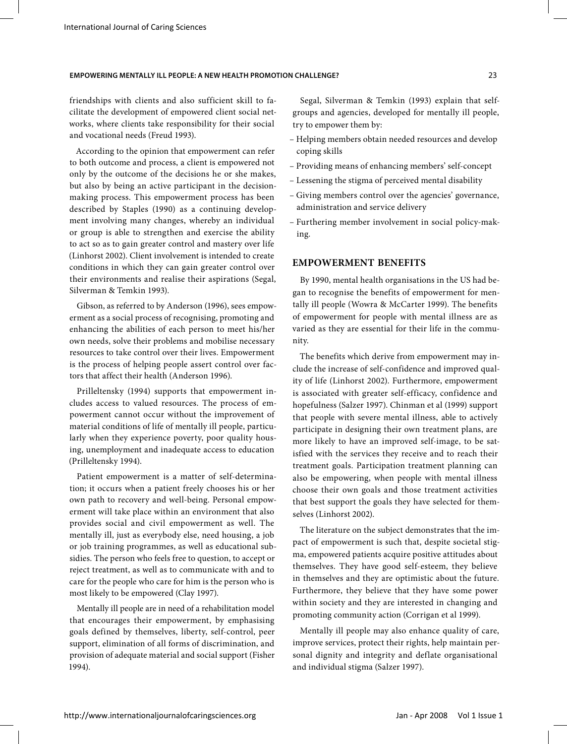### **EMPOWERING MENTALLY ILL PEOPLE: A NEW HEALTH PROMOTION CHALLENGE?** 23

friendships with clients and also sufficient skill to facilitate the development of empowered client social networks, where clients take responsibility for their social and vocational needs (Freud 1993).

According to the opinion that empowerment can refer to both outcome and process, a client is empowered not only by the outcome of the decisions he or she makes, but also by being an active participant in the decisionmaking process. This empowerment process has been described by Staples (1990) as a continuing development involving many changes, whereby an individual or group is able to strengthen and exercise the ability to act so as to gain greater control and mastery over life (Linhorst 2002). Client involvement is intended to create conditions in which they can gain greater control over their environments and realise their aspirations (Segal, Silverman & Temkin 1993).

Gibson, as referred to by Anderson (1996), sees empowerment as a social process of recognising, promoting and enhancing the abilities of each person to meet his/her own needs, solve their problems and mobilise necessary resources to take control over their lives. Empowerment is the process of helping people assert control over factors that affect their health (Anderson 1996).

Prilleltensky (1994) supports that empowerment includes access to valued resources. The process of empowerment cannot occur without the improvement of material conditions of life of mentally ill people, particularly when they experience poverty, poor quality housing, unemployment and inadequate access to education (Prilleltensky 1994).

Patient empowerment is a matter of self-determination; it occurs when a patient freely chooses his or her own path to recovery and well-being. Personal empowerment will take place within an environment that also provides social and civil empowerment as well. The mentally ill, just as everybody else, need housing, a job or job training programmes, as well as educational subsidies. The person who feels free to question, to accept or reject treatment, as well as to communicate with and to care for the people who care for him is the person who is most likely to be empowered (Clay 1997).

Mentally ill people are in need of a rehabilitation model that encourages their empowerment, by emphasising goals defined by themselves, liberty, self-control, peer support, elimination of all forms of discrimination, and provision of adequate material and social support (Fisher 1994).

Segal, Silverman & Temkin (1993) explain that selfgroups and agencies, developed for mentally ill people, try to empower them by:

- Helping members obtain needed resources and develop coping skills
- Providing means of enhancing members' self-concept
- Lessening the stigma of perceived mental disability
- Giving members control over the agencies' governance, administration and service delivery
- Furthering member involvement in social policy-making.

## **EMPOWERMENT BENEFITS**

By 1990, mental health organisations in the US had began to recognise the benefits of empowerment for mentally ill people (Wowra & McCarter 1999). The benefits of empowerment for people with mental illness are as varied as they are essential for their life in the community.

The benefits which derive from empowerment may include the increase of self-confidence and improved quality of life (Linhorst 2002). Furthermore, empowerment is associated with greater self-efficacy, confidence and hopefulness (Salzer 1997). Chinman et al (1999) support that people with severe mental illness, able to actively participate in designing their own treatment plans, are more likely to have an improved self-image, to be satisfied with the services they receive and to reach their treatment goals. Participation treatment planning can also be empowering, when people with mental illness choose their own goals and those treatment activities that best support the goals they have selected for themselves (Linhorst 2002).

The literature on the subject demonstrates that the impact of empowerment is such that, despite societal stigma, empowered patients acquire positive attitudes about themselves. They have good self-esteem, they believe in themselves and they are optimistic about the future. Furthermore, they believe that they have some power within society and they are interested in changing and promoting community action (Corrigan et al 1999).

Mentally ill people may also enhance quality of care, improve services, protect their rights, help maintain personal dignity and integrity and deflate organisational and individual stigma (Salzer 1997).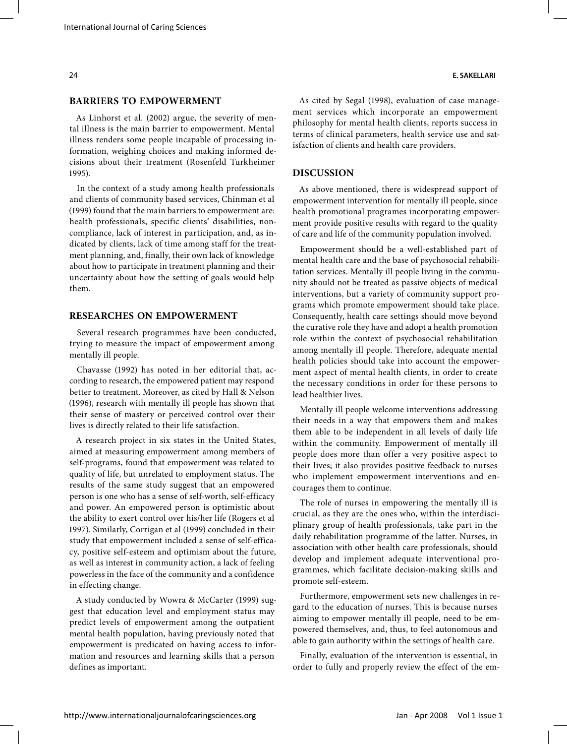#### **BARRIERS TO EMPOWERMENT**

As Linhorst et al. (2002) argue, the severity of mental illness is the main barrier to empowerment. Mental illness renders some people incapable of processing information, weighing choices and making informed decisions about their treatment (Rosenfeld Turkheimer 1995).

In the context of a study among health professionals and clients of community based services, Chinman et al (1999) found that the main barriers to empowerment are: health professionals, specific clients' disabilities, noncompliance, lack of interest in participation, and, as indicated by clients, lack of time among staff for the treatment planning, and, finally, their own lack of knowledge about how to participate in treatment planning and their uncertainty about how the setting of goals would help them.

#### **RESEARCHES ON EMPOWERMENT**

Several research programmes have been conducted, trying to measure the impact of empowerment among mentally ill people.

Chavasse (1992) has noted in her editorial that, according to research, the empowered patient may respond better to treatment. Moreover, as cited by Hall & Nelson (1996), research with mentally ill people has shown that their sense of mastery or perceived control over their lives is directly related to their life satisfaction.

A research project in six states in the United States, aimed at measuring empowerment among members of self-programs, found that empowerment was related to quality of life, but unrelated to employment status. The results of the same study suggest that an empowered person is one who has a sense of self-worth, self-efficacy and power. An empowered person is optimistic about the ability to exert control over his/her life (Rogers et al 1997). Similarly, Corrigan et al (1999) concluded in their study that empowerment included a sense of self-efficacy, positive self-esteem and optimism about the future, as well as interest in community action, a lack of feeling powerless in the face of the community and a confidence in effecting change.

A study conducted by Wowra & McCarter (1999) suggest that education level and employment status may predict levels of empowerment among the outpatient mental health population, having previously noted that empowerment is predicated on having access to information and resources and learning skills that a person defines as important.

As cited by Segal (1998), evaluation of case management services which incorporate an empowerment philosophy for mental health clients, reports success in terms of clinical parameters, health service use and satisfaction of clients and health care providers.

#### **DISCUSSION**

As above mentioned, there is widespread support of empowerment intervention for mentally ill people, since health promotional programes incorporating empowerment provide positive results with regard to the quality of care and life of the community population involved.

Empowerment should be a well-established part of mental health care and the base of psychosocial rehabilitation services. Mentally ill people living in the community should not be treated as passive objects of medical interventions, but a variety of community support programs which promote empowerment should take place. Consequently, health care settings should move beyond the curative role they have and adopt a health promotion role within the context of psychosocial rehabilitation among mentally ill people. Therefore, adequate mental health policies should take into account the empowerment aspect of mental health clients, in order to create the necessary conditions in order for these persons to lead healthier lives.

Mentally ill people welcome interventions addressing their needs in a way that empowers them and makes them able to be independent in all levels of daily life within the community. Empowerment of mentally ill people does more than offer a very positive aspect to their lives; it also provides positive feedback to nurses who implement empowerment interventions and encourages them to continue.

The role of nurses in empowering the mentally ill is crucial, as they are the ones who, within the interdisciplinary group of health professionals, take part in the daily rehabilitation programme of the latter. Nurses, in association with other health care professionals, should develop and implement adequate interventional programmes, which facilitate decision-making skills and promote self-esteem.

Furthermore, empowerment sets new challenges in regard to the education of nurses. This is because nurses aiming to empower mentally ill people, need to be empowered themselves, and, thus, to feel autonomous and able to gain authority within the settings of health care.

Finally, evaluation of the intervention is essential, in order to fully and properly review the effect of the em-